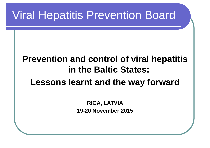## Viral Hepatitis Prevention Board

#### **Prevention and control of viral hepatitis in the Baltic States: Lessons learnt and the way forward**

**RIGA, LATVIA 19-20 November 2015**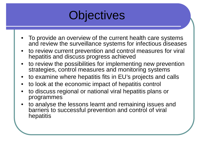

- • To provide an overview of the current health care systems and review the surveillance systems for infectious diseases
- • to review current prevention and control measures for viral hepatitis and discuss progress achieved
- • to review the possibilities for implementing new prevention strategies, control measures and monitoring systems
- •to examine where hepatitis fits in EU's projects and calls
- to look at the economic impact of hepatitis control
- • to discuss regional or national viral hepatitis plans or programmes
- • to analyse the lessons learnt and remaining issues and barriers to successful prevention and control of viral hepatitis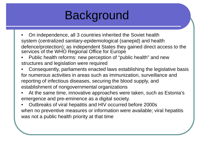

- • On independence, all 3 countries inherited the Soviet health system (centralized sanitary-epidemiological (sanepid) and health defence/protection); as independent States they gained direct access to the services of the WHO Regional Office for Europe
- • Public health reforms: new perception of "public health" and new structures and legislation were required
- • Consequently, parliaments enacted laws establishing the legislative basis for numerous activities in areas such as immunization, surveillance and reporting of infectious diseases, securing the blood supply, and establishment of nongovernmental organizations
- • At the same time, innovative approaches were taken, such as Estonia's emergence and pre-eminence as a digital society.
- • Outbreaks of viral hepatitis and HIV occurred before 2000s when no preventive measures or information were available; viral hepatitis was not a public health priority at that time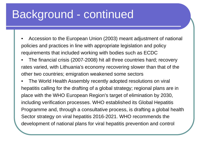## Background - continued

- • Accession to the European Union (2003) meant adjustment of national policies and practices in line with appropriate legislation and policy requirements that included working with bodies such as ECDC
- • The financial crisis (2007-2008) hit all three countries hard; recovery rates varied, with Lithuania's economy recovering slower than that of the other two countries; emigration weakened some sectors

• The World Health Assembly recently adopted resolutions on viral hepatitis calling for the drafting of <sup>a</sup> global strategy; regional plans are in place with the WHO European Region's target of elimination by 2030, including verification processes. WHO established its Global Hepatitis Programme and, through <sup>a</sup> consultative process, is drafting <sup>a</sup> global health Sector strategy on viral hepatitis 2016-2021. WHO recommends the development of national plans for viral hepatitis prevention and control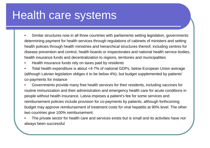### Health care systems

- • Similar structures now in all three countries with parliaments setting legislation, governments determining payment for health services through regulations of cabinets of ministers and setting health policies through health ministries and hierarchical structures thereof, including centres for disease prevention and control, health boards or inspectorates and national health service bodies, health insurance funds and decentralization to regions, territories and municipalities
- •Health insurance funds rely on taxes paid by residents
- • Total health expenditure is about <4-7% of national GDPs, below European Union average (although Latvian legislation obliges it to be below 4%), but budget supplemented by patients' co-payments for instance
- • Governments provide many free health services for their residents, including vaccines for routine immunization and their administration and emergency health care for acute conditions in people without health insurance. Latvia imposes a patient's fee for some services and reimbursement policies include provision for co-payments by patients, although forthcoming budget may approve reimbursement of treatment costs for viral hepatitis at 90% level. The other two countries give 100% reimbursement.
- • The private sector for health care and services exists but is small and its activities have not always been successful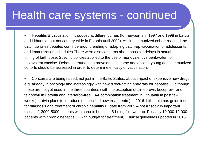#### Health care systems - continued

• Hepatitis B vaccination introduced at different times (for newborns in 1997 and 1998 in Latvia and Lithuania, but not country-wide in Estonia until 2003). As first immunized cohort reached the catch up rates debates continue around ending or adapting catch-up vaccination of adolescents and immunization schedules.There were also concerns about possible delays in actual timing of birth dose. Specific policies applied to the use of monovalent vs pentavalent or hexavalent vaccine. Debates around high prevalence in some adolescent, young adult, immunized cohorts should be assessed in order to determine efficacy of vaccination.

• Concerns are being raised, not just in the Baltic States, about impact of expensive new drugs, e.g. already in oncology and increasingly with new direct-acting antivirals for hepatitis C, although these are not yet used in the three countries (with the exception of simeprevir, boceprevir and telaprevir in Estonia and interferon-free DAA combination treatment in Lithuania in past few weeks); Latvia plans to introduce unspecified new treatment(s) in 2016. Lithuania has guidelines for diagnosis and treatment of chronic hepatitis B, date from 2005 – not a "socially important disease"; 3000-5000 patients with chronic hepatitis B being followed up. Possibly 10,000-12,000 patients with chronic hepatitis C (with budget for treatment). Clinical guidelines updated in 2015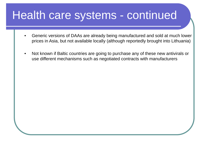### Health care systems - continued

- • Generic versions of DAAs are already being manufactured and sold at much lower prices in Asia, but not available locally (although reportedly brought into Lithuania)
- • Not known if Baltic countries are going to purchase any of these new antivirals or use different mechanisms such as negotiated contracts with manufacturers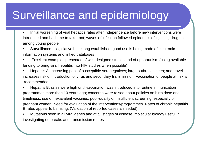## Surveillance and epidemiology

- • Initial worsening of viral hepatitis rates after independence before new interventions were introduced and had time to take root; waves of infection followed epidemics of injecting drug use among young people
- • Surveillance – legislative base long established; good use is being made of electronic information systems and linked databases
- • Excellent examples presented of well-designed studies and of opportunism (using available funding to bring viral hepatitis into HIV studies when possible)
- • Hepatitis A: increasing pool of susceptible seronegatives; large outbreaks seen; and travel increases risk of introduction of virus and secondary transmission. Vaccination of people at risk is recommended.
- • Hepatitis B: rates were high until vaccination was introduced into routine immunization programmes more than 10 years ago; concerns were raised about policies on birth dose and timeliness, use of hexavalent vaccines, poor-quality or insufficient screening, especially of pregnant women. Need for evaluation of the interventions/programmes. Rates of chronic hepatitis B rates appear to be rising. (Validation of reported cases is needed).
- • Mutations seen in all viral genes and at all stages of disease; molecular biology useful in investigating outbreaks and transmission routes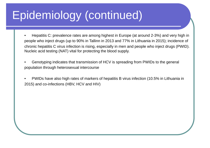# Epidemiology (continued)

- • Hepatitis C: prevalence rates are among highest in Europe (at around 2-3%) and very high in people who inject drugs (up to 90% in Tallinn in 2013 and 77% in Lithuania in 2015); incidence of chronic hepatitis C virus infection is rising, especially in men and people who inject drugs (PWID). Nucleic acid testing (NAT) vital for protecting the blood supply.
- • Genotyping indicates that transmission of HCV is spreading from PWIDs to the general population through heterosexual intercourse
- • PWIDs have also high rates of markers of hepatitis B virus infection (10.5% in Lithuania in 2015) and co-infections (HBV, HCV and HIV)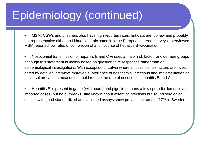# Epidemiology (continued)

- • MSM, CSWs and prisoners also have high reported rates, but data are too few and probably not representative although Lithuania participated in large European internet surveys; interviewed MSM reported low rates of completion of a full course of hepatitis B vaccination
- • Nosocomial transmission of hepatitis B and C viruses a major risk factor for older age groups although this statement is mainly based on questionnaire responses rather than on epidemiological investigations. With exception of Latvia where all possible risk factors are investigated by detailed interview improved surveillance of nosocomial infections and implementation of universal precaution measures should reduce the rate of nosocomial hepatitis B and C.
- • Hepatitis E is present in game (wild boars) and pigs; in humans a few sporadic domestic and imported cases) but no outbreaks; little known about extent of infections but sound serological studies with good standardized and validated assays show prevalence rates of 17% in Sweden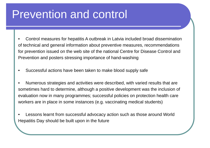## Prevention and control

- • Control measures for hepatitis A outbreak in Latvia included broad dissemination of technical and general information about preventive measures, recommendations for prevention issued on the web site of the national Centre for Disease Control and Prevention and posters stressing importance of hand-washing
- •Successful actions have been taken to make blood supply safe
- • Numerous strategies and activities were described, with varied results that are sometimes hard to determine, although a positive development was the inclusion of evaluation now in many programmes; successful policies on protection health care workers are in place in some instances (e.g. vaccinating medical students)
- • Lessons learnt from successful advocacy action such as those around World Hepatitis Day should be built upon in the future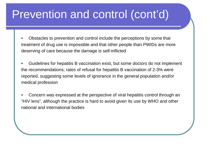## Prevention and control (cont'd)

- • Obstacles to prevention and control include the perceptions by some that treatment of drug use is impossible and that other people than PWIDs are more deserving of care because the damage is self-inflicted
- • Guidelines for hepatitis B vaccination exist, but some doctors do not implement the recommendations; rates of refusal for hepatitis B vaccination of 2-3% were reported, suggesting some levels of ignorance in the general population and/or medical profession
- • Concern was expressed at the perspective of viral hepatitis control through an "HIV lens", although the practice is hard to avoid given its use by WHO and other national and international bodies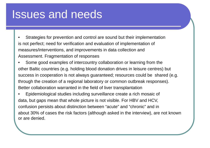#### Issues and needs

- • Strategies for prevention and control are sound but their implementation is not perfect; need for verification and evaluation of implementation of measures/interventions, and improvements in data collection and Assessment. Fragmentation of responses
- • Some good examples of intercountry collaboration or learning from the other Baltic countries (e.g. holding blood donation drives in leisure centres) but success in cooperation is not always guaranteed; resources could be shared (e.g. through the creation of a regional laboratory or common outbreak responses). Better collaboration warranted in the field of liver transplantation
- • Epidemiological studies including surveillance create a rich mosaic of data, but gaps mean that whole picture is not visible. For HBV and HCV, confusion persists about distinction between "acute" and "chronic" and in about 30% of cases the risk factors (although asked in the interview), are not known or are denied.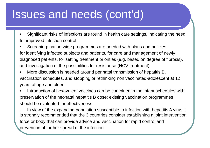- • Significant risks of infections are found in health care settings, indicating the need for improved infection control
- • Screening: nation-wide programmes are needed with plans and policies for identifying infected subjects and patients, for care and management of newly diagnosed patients, for setting treatment priorities (e.g. based on degree of fibrosis), and investigation of the possibilities for resistance (HCV treatment)
- • More discussion is needed around perinatal transmission of hepatitis B, vaccination schedules, and stopping or rethinking non vaccinated-adolescent at 12 years of age and older
- • Introduction of hexavalent vaccines can be combined in the infant schedules with preservation of the neonatal hepatitis B dose; existing vaccination programmes should be evaluated for effectiveness

**.** In view of the expanding population susceptible to infection with hepatitis A virus it is strongly recommended that the 3 countries consider establishing a joint intervention force or body that can provide advice and vaccination for rapid control and prevention of further spread of the infection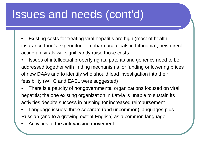- • Existing costs for treating viral hepatitis are high (most of health insurance fund's expenditure on pharmaceuticals in Lithuania); new directacting antivirals will significantly raise those costs
- • Issues of intellectual property rights, patents and generics need to be addressed together with finding mechanisms for funding or lowering prices of new DAAs and to identify who should lead investigation into their feasibility (WHO and EASL were suggested)
- • There is a paucity of nongovernmental organizations focused on viral hepatitis; the one existing organization in Latvia is unable to sustain its activities despite success in pushing for increased reimbursement
- • Language issues: three separate (and uncommon) languages plus Russian (and to a growing extent English) as a common language
- •Activities of the anti-vaccine movement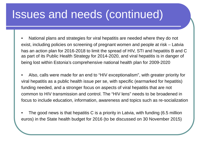- • National plans and strategies for viral hepatitis are needed where they do not exist, including policies on screening of pregnant women and people at risk – Latvia has an action plan for 2016-2018 to limit the spread of HIV, STI and hepatitis B and C as part of its Public Health Strategy for 2014-2020, and viral hepatitis is in danger of being lost within Estonia's comprehensive national health plan for 2009-2020
- • Also, calls were made for an end to "HIV exceptionalism", with greater priority for viral hepatitis as a public health issue per se, with specific (earmarked for hepatitis) funding needed, and a stronger focus on aspects of viral hepatitis that are not common to HIV transmission and control. The "HIV lens" needs to be broadened in focus to include education, information, awareness and topics such as re-socialization
- • The good news is that hepatitis C is a priority in Latvia, with funding (6.5 million euros) in the State health budget for 2016 (to be discussed on 30 November 2015)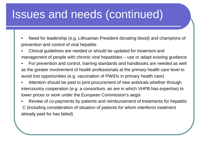- • Need for leadership (e.g. Lithuanian President donating blood) and champions of prevention and control of viral hepatitis
- • Clinical guidelines are needed or should be updated for treatment and management of people with chronic viral hepatitides – use or adapt existing guidance
- • For prevention and control, training standards and handbooks are needed as well as the greater involvement of health professionals at the primary health care level to avoid lost opportunities (e.g. vaccination of PWIDs in primary health care)
- • Attention should be paid to joint procurement of new antivirals whether through intercountry cooperation (e.g. a consortium, an are in which VHPB has expertise) to lower prices or work under the European Commission's aegis
- • Review of co-payments by patients and reimbursement of treatments for hepatitis C (including consideration of situation of patients for whom interferon treatment already paid for has failed)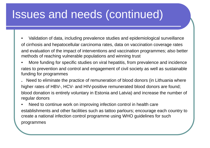- • Validation of data, including prevalence studies and epidemiological surveillance of cirrhosis and hepatocellular carcinoma rates, data on vaccination coverage rates and evaluation of the impact of interventions and vaccination programmes; also better methods of reaching vulnerable populations and winning trust
- • More funding for specific studies on viral hepatitis, from prevalence and incidence rates to prevention and control and engagement of civil society as well as sustainable funding for programmes
- **.** Need to eliminate the practice of remuneration of blood donors (in Lithuania where higher rates of HBV-, HCV- and HIV-positive remunerated blood donors are found; blood donation is entirely voluntary in Estonia and Latvia) and increase the number of regular donors
- • Need to continue work on improving infection control in health care establishments and other facilities such as tattoo parlours; encourage each country to create a national infection control programme using WHO guidelines for such programmes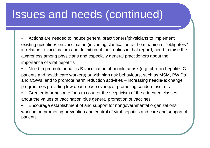- • Actions are needed to induce general practitioners/physicians to implement existing guidelines on vaccination (including clarification of the meaning of "obligatory" in relation to vaccination) and definition of their duties in that regard; need to raise the awareness among physicians and especially general practitioners about the importance of viral hepatitis
- • Need to promote hepatitis B vaccination of people at risk (e.g. chronic hepatitis C patients and health care workers) or with high risk behaviours, such as MSM, PWIDs and CSWs, and to promote harm reduction activities – increasing needle-exchange programmes providing low dead-space syringes, promoting condom use, etc
- • Greater information efforts to counter the scepticism of the educated classes about the values of vaccination plus general promotion of vaccines
- • Encourage establishment of and support for nongovernmental organizations working on promoting prevention and control of viral hepatitis and care and support of patients